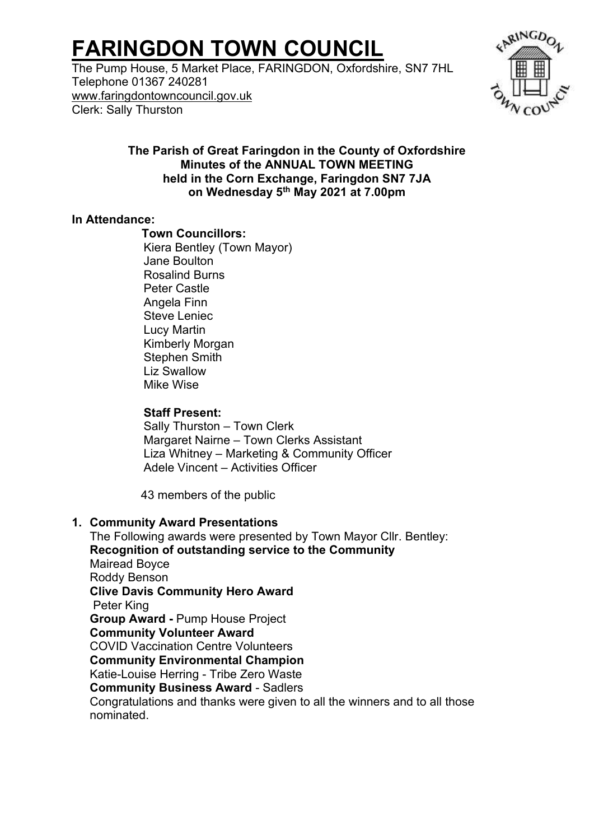# **FARINGDON TOWN COUNCIL**

The Pump House, 5 Market Place, FARINGDON, Oxfordshire, SN7 7HL Telephone 01367 240281 [www.faringdontowncouncil.gov.uk](http://www.faringdontowncouncil.gov.uk/) Clerk: Sally Thurston



### **The Parish of Great Faringdon in the County of Oxfordshire Minutes of the ANNUAL TOWN MEETING held in the Corn Exchange, Faringdon SN7 7JA on Wednesday 5th May 2021 at 7.00pm**

#### **In Attendance:**

### **Town Councillors:**

Kiera Bentley (Town Mayor) Jane Boulton Rosalind Burns Peter Castle Angela Finn Steve Leniec Lucy Martin Kimberly Morgan Stephen Smith Liz Swallow Mike Wise

### **Staff Present:**

Sally Thurston – Town Clerk Margaret Nairne – Town Clerks Assistant Liza Whitney – Marketing & Community Officer Adele Vincent – Activities Officer

43 members of the public

## **1. Community Award Presentations**

The Following awards were presented by Town Mayor Cllr. Bentley: **Recognition of outstanding service to the Community** Mairead Boyce Roddy Benson **Clive Davis Community Hero Award** Peter King **Group Award -** Pump House Project **Community Volunteer Award** COVID Vaccination Centre Volunteers **Community Environmental Champion** Katie-Louise Herring - Tribe Zero Waste **Community Business Award** - Sadlers Congratulations and thanks were given to all the winners and to all those nominated.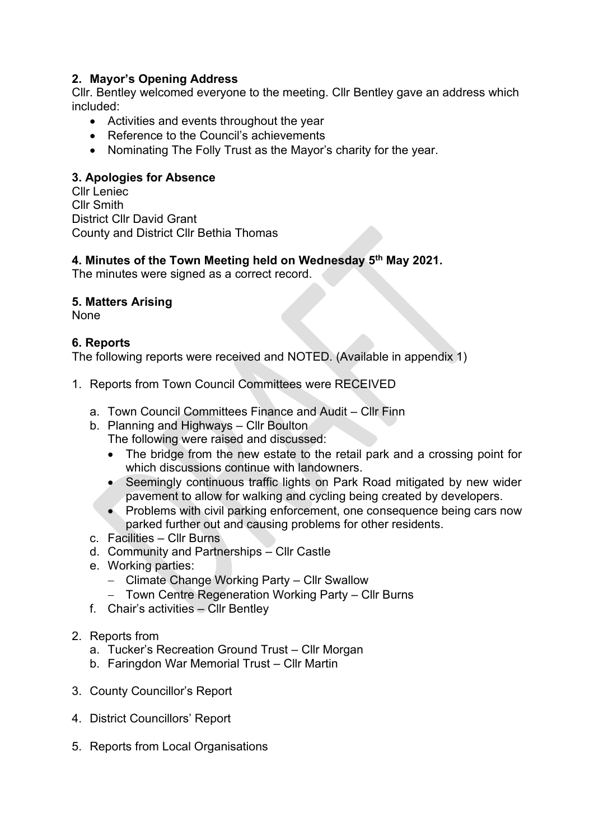# **2. Mayor's Opening Address**

Cllr. Bentley welcomed everyone to the meeting. Cllr Bentley gave an address which included:

- Activities and events throughout the year
- Reference to the Council's achievements
- Nominating The Folly Trust as the Mayor's charity for the year.

# **3. Apologies for Absence**

Cllr Leniec Cllr Smith District Cllr David Grant County and District Cllr Bethia Thomas

# **4. Minutes of the Town Meeting held on Wednesday 5th May 2021.**

The minutes were signed as a correct record.

# **5. Matters Arising**

None

## **6. Reports**

The following reports were received and NOTED. (Available in appendix 1)

- 1. Reports from Town Council Committees were RECEIVED
	- a. Town Council Committees Finance and Audit Cllr Finn
	- b. Planning and Highways Cllr Boulton
		- The following were raised and discussed:
		- The bridge from the new estate to the retail park and a crossing point for which discussions continue with landowners.
		- Seemingly continuous traffic lights on Park Road mitigated by new wider pavement to allow for walking and cycling being created by developers.
		- Problems with civil parking enforcement, one consequence being cars now parked further out and causing problems for other residents.
	- c. Facilities Cllr Burns
	- d. Community and Partnerships Cllr Castle
	- e. Working parties:
		- − Climate Change Working Party Cllr Swallow
		- − Town Centre Regeneration Working Party Cllr Burns
	- f. Chair's activities Cllr Bentley
- 2. Reports from
	- a. Tucker's Recreation Ground Trust Cllr Morgan
	- b. Faringdon War Memorial Trust Cllr Martin
- 3. County Councillor's Report
- 4. District Councillors' Report
- 5. Reports from Local Organisations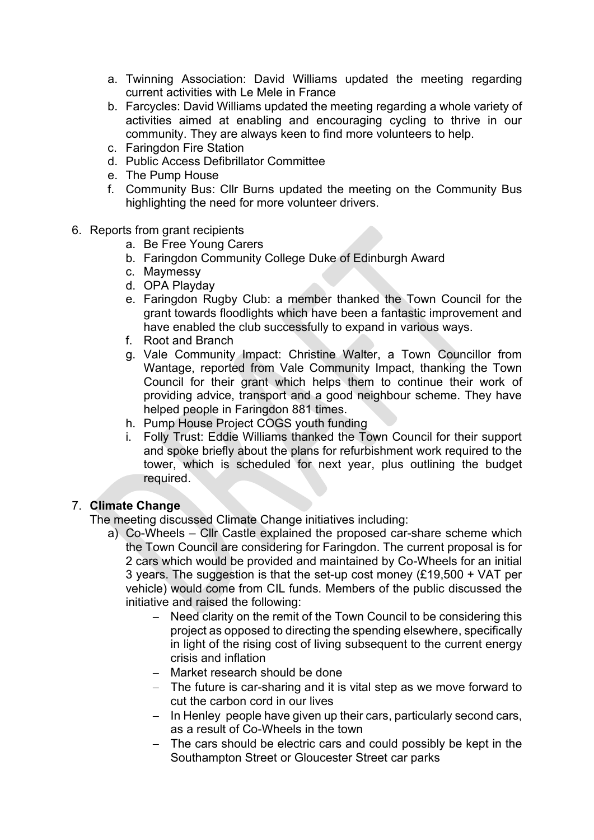- a. Twinning Association: David Williams updated the meeting regarding current activities with Le Mele in France
- b. Farcycles: David Williams updated the meeting regarding a whole variety of activities aimed at enabling and encouraging cycling to thrive in our community. They are always keen to find more volunteers to help.
- c. Faringdon Fire Station
- d. Public Access Defibrillator Committee
- e. The Pump House
- f. Community Bus: Cllr Burns updated the meeting on the Community Bus highlighting the need for more volunteer drivers.
- 6. Reports from grant recipients
	- a. Be Free Young Carers
	- b. Faringdon Community College Duke of Edinburgh Award
	- c. Maymessy
	- d. OPA Playday
	- e. Faringdon Rugby Club: a member thanked the Town Council for the grant towards floodlights which have been a fantastic improvement and have enabled the club successfully to expand in various ways.
	- f. Root and Branch
	- g. Vale Community Impact: Christine Walter, a Town Councillor from Wantage, reported from Vale Community Impact, thanking the Town Council for their grant which helps them to continue their work of providing advice, transport and a good neighbour scheme. They have helped people in Faringdon 881 times.
	- h. Pump House Project COGS youth funding
	- i. Folly Trust: Eddie Williams thanked the Town Council for their support and spoke briefly about the plans for refurbishment work required to the tower, which is scheduled for next year, plus outlining the budget required.

## 7. **Climate Change**

The meeting discussed Climate Change initiatives including:

- a) Co-Wheels Cllr Castle explained the proposed car-share scheme which the Town Council are considering for Faringdon. The current proposal is for 2 cars which would be provided and maintained by Co-Wheels for an initial 3 years. The suggestion is that the set-up cost money (£19,500 + VAT per vehicle) would come from CIL funds. Members of the public discussed the initiative and raised the following:
	- − Need clarity on the remit of the Town Council to be considering this project as opposed to directing the spending elsewhere, specifically in light of the rising cost of living subsequent to the current energy crisis and inflation
	- − Market research should be done
	- − The future is car-sharing and it is vital step as we move forward to cut the carbon cord in our lives
	- − In Henley people have given up their cars, particularly second cars, as a result of Co-Wheels in the town
	- − The cars should be electric cars and could possibly be kept in the Southampton Street or Gloucester Street car parks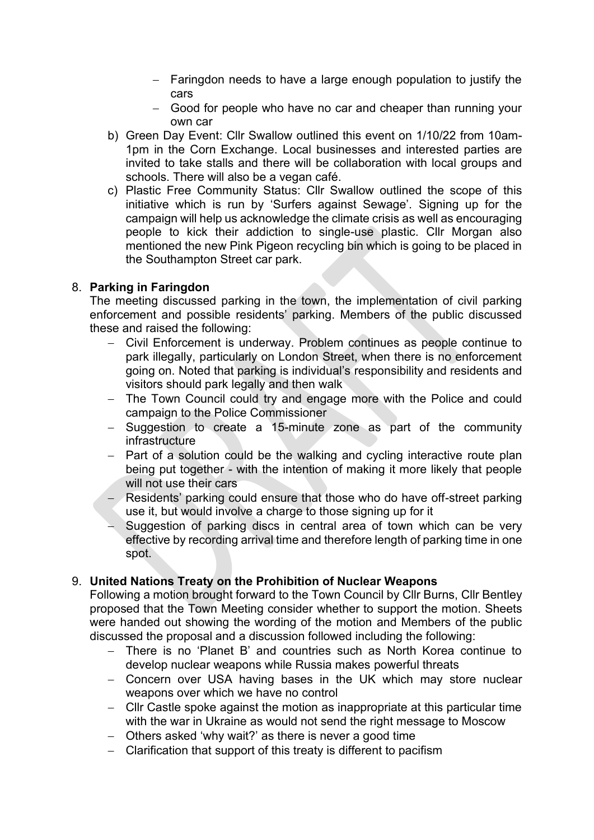- − Faringdon needs to have a large enough population to justify the cars
- − Good for people who have no car and cheaper than running your own car
- b) Green Day Event: Cllr Swallow outlined this event on 1/10/22 from 10am-1pm in the Corn Exchange. Local businesses and interested parties are invited to take stalls and there will be collaboration with local groups and schools. There will also be a vegan café.
- c) Plastic Free Community Status: Cllr Swallow outlined the scope of this initiative which is run by 'Surfers against Sewage'. Signing up for the campaign will help us acknowledge the climate crisis as well as encouraging people to kick their addiction to single-use plastic. Cllr Morgan also mentioned the new Pink Pigeon recycling bin which is going to be placed in the Southampton Street car park.

### 8. **Parking in Faringdon**

The meeting discussed parking in the town, the implementation of civil parking enforcement and possible residents' parking. Members of the public discussed these and raised the following:

- − Civil Enforcement is underway. Problem continues as people continue to park illegally, particularly on London Street, when there is no enforcement going on. Noted that parking is individual's responsibility and residents and visitors should park legally and then walk
- − The Town Council could try and engage more with the Police and could campaign to the Police Commissioner
- − Suggestion to create a 15-minute zone as part of the community infrastructure
- − Part of a solution could be the walking and cycling interactive route plan being put together - with the intention of making it more likely that people will not use their cars
- − Residents' parking could ensure that those who do have off-street parking use it, but would involve a charge to those signing up for it
- − Suggestion of parking discs in central area of town which can be very effective by recording arrival time and therefore length of parking time in one spot.

#### 9. **United Nations Treaty on the Prohibition of Nuclear Weapons**

Following a motion brought forward to the Town Council by Cllr Burns, Cllr Bentley proposed that the Town Meeting consider whether to support the motion. Sheets were handed out showing the wording of the motion and Members of the public discussed the proposal and a discussion followed including the following:

- − There is no 'Planet B' and countries such as North Korea continue to develop nuclear weapons while Russia makes powerful threats
- − Concern over USA having bases in the UK which may store nuclear weapons over which we have no control
- − Cllr Castle spoke against the motion as inappropriate at this particular time with the war in Ukraine as would not send the right message to Moscow
- − Others asked 'why wait?' as there is never a good time
- − Clarification that support of this treaty is different to pacifism